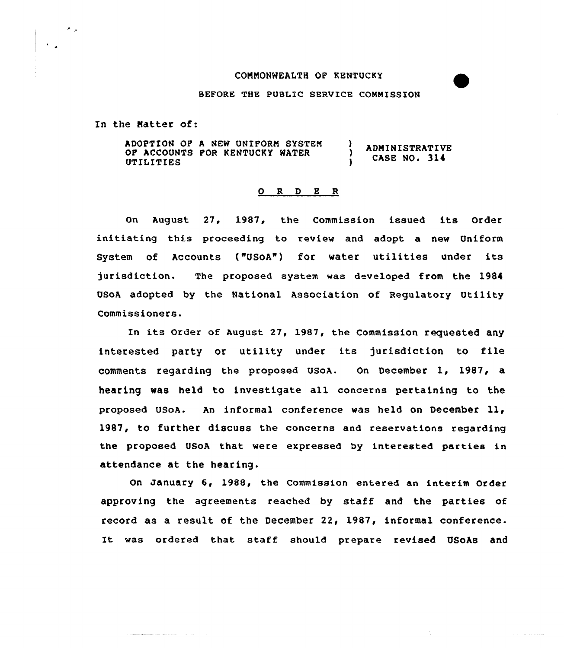## CONNONWEALTH OF KENTUCKY

#### BEFORE THE PUBLIC SERVICE COMMISSION

In the Natter of:

 $\label{eq:3.1} \mathcal{L}^{(1)}(x) = \mathcal{L}^{(1)}(x) = \mathcal{L}^{(1)}(x) = \mathcal{L}^{(1)}(x) = \mathcal{L}^{(1)}(x) = \mathcal{L}^{(1)}(x) = \mathcal{L}^{(1)}(x) = \mathcal{L}^{(1)}(x) = \mathcal{L}^{(1)}(x) = \mathcal{L}^{(1)}(x) = \mathcal{L}^{(1)}(x) = \mathcal{L}^{(1)}(x) = \mathcal{L}^{(1)}(x) = \mathcal{L}^{(1)}(x) = \mathcal{L}^{(1)}(x) = \$ 

الواجو

 $\ddot{\phantom{a}}$ 

ADOPTION OP A NEW UNIPORN SYSTEN ) ADNINISTRATIVE OP ACCOUNTS POR KENTUCKY WATER CASE NO. 314 UTILITIES  $\mathbf{I}$ 

### 0 R <sup>D</sup> E R

on August 27, 1987, the Commission issued its Order initiating this proceeding to review and adopt a new Uniform System of Accounts ("USoA") for water utilities under its jurisdiction. The proposed system was developed from the 1984 USoA adopted by the National Association of Regulatory Utility Commissioners.

In its Order of August 27, 1987, the Commission requested any interested party or utility under its jurisdiction to file cOmments regarding the proposed USoA. On December 1, 1987, a hearing was held to investigate all concerns pertaining to the proposed USoA. An informal conference was held on December ll, 1987, to further discuss the concerns and reservations regarding the proposed USoA that were expressed by interested parties in attendance at the hearing.

On January 6, 1988, the Commission entered an interim Order approving the agreements reached by staff and the parties of record as a result of the December 22, 1987, informal conference. It was ordered that staff should prepare revised USoAs and

ستنبذ والدارا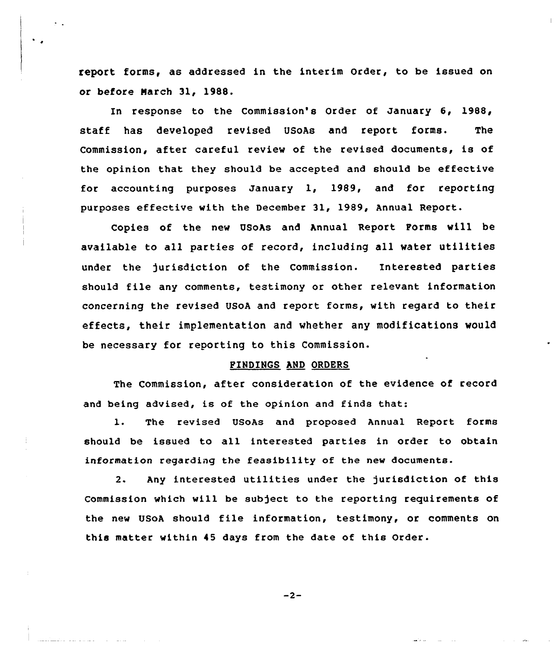report forms, as addressed in the interim Order, to be issued on or before Narch 31, 1988.

In response to the commission's order of January 6, 1988, staff has developed revised USoAs and report forms. The Commission, after careful review of the revised documents, is of the opinion that they should be accepted and should be effective for accounting purposes January 1, 1989, and for reporting purposes effective with the December 31, 1989, Annual Report.

Copies of the new USoAs and Annual Report Porms will be available to all parties of record, including all water utilities under the )urisdiction of the Commission. Interested parties should file any comments, testimony or other relevant information concerning the revised USoA and report forms, with regard to their effects, their implementation and whether any modifications would be necessary for reporting to this Commission.

# FINDINGS AND ORDERS

The Commission, after consideration of the evidence of record and being advised, is of the opinion and finds that:

1. The revised USoAs and proposed Annual Report forms should be issued to all interested parties in order to obtain information regarding the feasibility of the new documents.

2. Any interested utilities under the jurisdiction of this Commission which will be subject to the reporting requirements of the new USoA should file information, testimony, or comments on this matter within 45 days from the date of this Order.

$$
-2-
$$